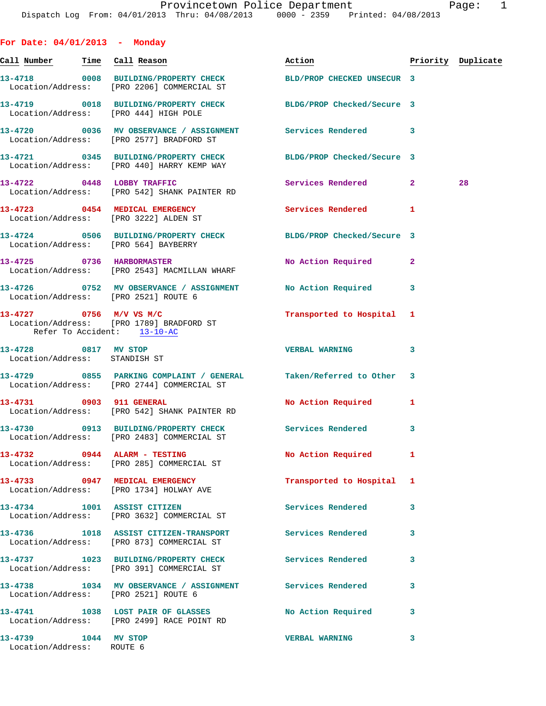| For Date: 04/01/2013 - Monday                         |                                                                                                                |                           |                |                    |
|-------------------------------------------------------|----------------------------------------------------------------------------------------------------------------|---------------------------|----------------|--------------------|
| <u>Call Number — Time Call Reason</u>                 |                                                                                                                | Action                    |                | Priority Duplicate |
|                                                       | 13-4718 0008 BUILDING/PROPERTY CHECK BLD/PROP CHECKED UNSECUR 3<br>Location/Address: [PRO 2206] COMMERCIAL ST  |                           |                |                    |
|                                                       | 13-4719 0018 BUILDING/PROPERTY CHECK BLDG/PROP Checked/Secure 3<br>Location/Address: [PRO 444] HIGH POLE       |                           |                |                    |
|                                                       | 13-4720 0036 MV OBSERVANCE / ASSIGNMENT Services Rendered 3<br>Location/Address: [PRO 2577] BRADFORD ST        |                           |                |                    |
|                                                       | 13-4721 0345 BUILDING/PROPERTY CHECK BLDG/PROP Checked/Secure 3<br>Location/Address: [PRO 440] HARRY KEMP WAY  |                           |                |                    |
| 13-4722 0448 LOBBY TRAFFIC                            | Location/Address: [PRO 542] SHANK PAINTER RD                                                                   | Services Rendered 2       |                | 28                 |
|                                                       | 13-4723 0454 MEDICAL EMERGENCY<br>Location/Address: [PRO 3222] ALDEN ST                                        | Services Rendered         | 1              |                    |
|                                                       | 13-4724 0506 BUILDING/PROPERTY CHECK BLDG/PROP Checked/Secure 3<br>Location/Address: [PRO 564] BAYBERRY        |                           |                |                    |
|                                                       | 13-4725 0736 HARBORMASTER<br>Location/Address: [PRO 2543] MACMILLAN WHARF                                      | No Action Required        | $\overline{2}$ |                    |
|                                                       | 13-4726 0752 MV OBSERVANCE / ASSIGNMENT No Action Required<br>Location/Address: [PRO 2521] ROUTE 6             |                           | 3              |                    |
| Refer To Accident: 13-10-AC                           | 13-4727 0756 M/V VS M/C<br>Location/Address: [PRO 1789] BRADFORD ST                                            | Transported to Hospital 1 |                |                    |
| 13-4728 0817 MV STOP<br>Location/Address: STANDISH ST |                                                                                                                | <b>VERBAL WARNING</b>     | 3              |                    |
|                                                       | 13-4729 0855 PARKING COMPLAINT / GENERAL Taken/Referred to Other<br>Location/Address: [PRO 2744] COMMERCIAL ST |                           | -3             |                    |
|                                                       | 13-4731 0903 911 GENERAL<br>Location/Address: [PRO 542] SHANK PAINTER RD                                       | No Action Required        | 1              |                    |
|                                                       | 13-4730 0913 BUILDING/PROPERTY CHECK Services Rendered<br>Location/Address: [PRO 2483] COMMERCIAL ST           |                           | 3              |                    |
|                                                       | $13-4732$ 0944 ALARM - TESTING<br>Location/Address: [PRO 285] COMMERCIAL ST                                    | No Action Required        | 1              |                    |
|                                                       | 13-4733 0947 MEDICAL EMERGENCY<br>Location/Address: [PRO 1734] HOLWAY AVE                                      | Transported to Hospital   | 1              |                    |
|                                                       | 13-4734 1001 ASSIST CITIZEN<br>Location/Address: [PRO 3632] COMMERCIAL ST                                      | Services Rendered         | 3              |                    |
|                                                       | 13-4736 1018 ASSIST CITIZEN-TRANSPORT Services Rendered<br>Location/Address: [PRO 873] COMMERCIAL ST           |                           | 3              |                    |
|                                                       | 13-4737 1023 BUILDING/PROPERTY CHECK Services Rendered<br>Location/Address: [PRO 391] COMMERCIAL ST            |                           | 3              |                    |
| Location/Address: [PRO 2521] ROUTE 6                  | 13-4738 1034 MV OBSERVANCE / ASSIGNMENT Services Rendered                                                      |                           | 3              |                    |
|                                                       | 13-4741 1038 LOST PAIR OF GLASSES<br>Location/Address: [PRO 2499] RACE POINT RD                                | No Action Required        | 3              |                    |
| 13-4739 1044 MV STOP<br>Location/Address: ROUTE 6     |                                                                                                                | <b>VERBAL WARNING</b>     | 3              |                    |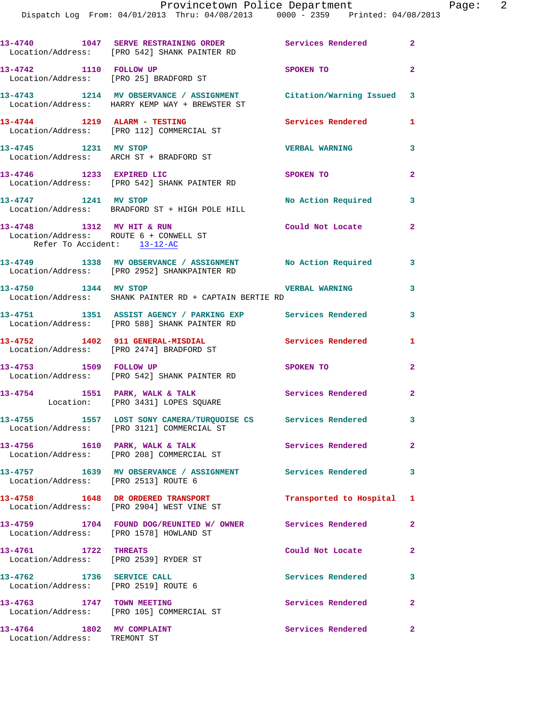|                                                           | 13-4740 1047 SERVE RESTRAINING ORDER Services Rendered 2<br>Location/Address: [PRO 542] SHANK PAINTER RD            |                           |                |
|-----------------------------------------------------------|---------------------------------------------------------------------------------------------------------------------|---------------------------|----------------|
| 13-4742 1110 FOLLOW UP                                    | Location/Address: [PRO 25] BRADFORD ST                                                                              | SPOKEN TO                 | $\overline{2}$ |
|                                                           | 13-4743 1214 MV OBSERVANCE / ASSIGNMENT Citation/Warning Issued 3<br>Location/Address: HARRY KEMP WAY + BREWSTER ST |                           |                |
|                                                           | 13-4744 1219 ALARM - TESTING<br>Location/Address: [PRO 112] COMMERCIAL ST                                           | Services Rendered 1       |                |
|                                                           | 13-4745 1231 MV STOP<br>Location/Address: ARCH ST + BRADFORD ST                                                     | <b>VERBAL WARNING</b>     | 3              |
| 13-4746 1233 EXPIRED LIC                                  | Location/Address: [PRO 542] SHANK PAINTER RD                                                                        | SPOKEN TO                 | $\mathbf{2}$   |
| 13-4747 1241 MV STOP                                      | Location/Address: BRADFORD ST + HIGH POLE HILL                                                                      | No Action Required        | 3              |
| Refer To Accident: 13-12-AC                               | 13-4748 1312 MV HIT & RUN<br>Location/Address: ROUTE 6 + CONWELL ST                                                 | Could Not Locate          | $\overline{2}$ |
|                                                           | 13-4749 1338 MV OBSERVANCE / ASSIGNMENT No Action Required 3<br>Location/Address: [PRO 2952] SHANKPAINTER RD        |                           |                |
|                                                           | 13-4750 1344 MV STOP<br>Location/Address: SHANK PAINTER RD + CAPTAIN BERTIE RD                                      | <b>VERBAL WARNING</b>     | 3              |
|                                                           | 13-4751 1351 ASSIST AGENCY / PARKING EXP Services Rendered<br>Location/Address: [PRO 588] SHANK PAINTER RD          |                           | 3              |
|                                                           | 13-4752 1402 911 GENERAL-MISDIAL<br>Location/Address: [PRO 2474] BRADFORD ST                                        | Services Rendered         | 1              |
| 13-4753 1509 FOLLOW UP                                    | Location/Address: [PRO 542] SHANK PAINTER RD                                                                        | SPOKEN TO                 | $\overline{2}$ |
|                                                           | 13-4754 1551 PARK, WALK & TALK<br>Location: [PRO 3431] LOPES SQUARE                                                 | Services Rendered         | $\overline{a}$ |
|                                                           | 13-4755 1557 LOST SONY CAMERA/TURQUOISE CS Services Rendered 3<br>Location/Address: [PRO 3121] COMMERCIAL ST        |                           |                |
|                                                           | 13-4756 1610 PARK, WALK & TALK<br>Location/Address: [PRO 208] COMMERCIAL ST                                         | Services Rendered         | $\mathbf{2}$   |
|                                                           | 13-4757 1639 MV OBSERVANCE / ASSIGNMENT Services Rendered 3<br>Location/Address: [PRO 2513] ROUTE 6                 |                           |                |
|                                                           | 13-4758 1648 DR ORDERED TRANSPORT<br>Location/Address: [PRO 2904] WEST VINE ST                                      | Transported to Hospital 1 |                |
|                                                           | 13-4759 1704 FOUND DOG/REUNITED W/ OWNER Services Rendered<br>Location/Address: [PRO 1578] HOWLAND ST               |                           | $\mathbf{2}$   |
| 13-4761 1722 THREATS                                      | Location/Address: [PRO 2539] RYDER ST                                                                               | Could Not Locate          | $\mathbf{2}$   |
| 13-4762 1736 SERVICE CALL                                 | Location/Address: [PRO 2519] ROUTE 6                                                                                | Services Rendered         | 3              |
|                                                           | 13-4763 1747 TOWN MEETING<br>Location/Address: [PRO 105] COMMERCIAL ST                                              | Services Rendered         | $\mathbf{2}$   |
| 13-4764 1802 MV COMPLAINT<br>Location/Address: TREMONT ST |                                                                                                                     | Services Rendered         | $\overline{2}$ |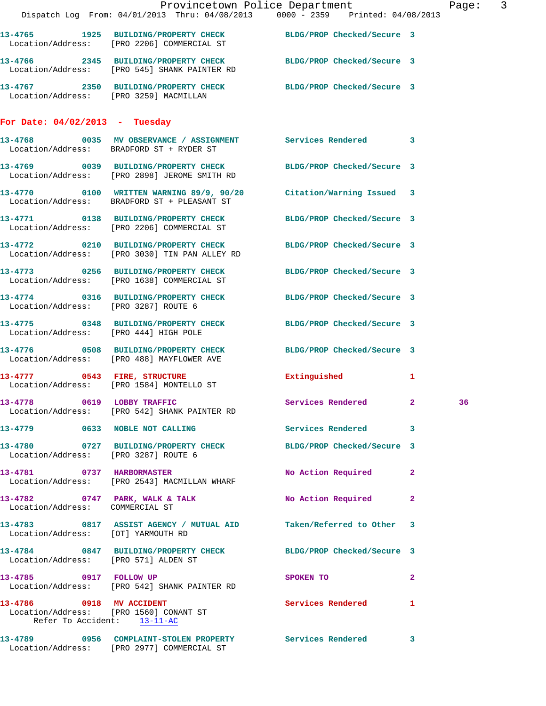|                                                                       |                                                                            | Provincetown Police Department<br>Dispatch Log From: 04/01/2013 Thru: 04/08/2013 0000 - 2359 Printed: 04/08/2013 | Page: 3 |
|-----------------------------------------------------------------------|----------------------------------------------------------------------------|------------------------------------------------------------------------------------------------------------------|---------|
|                                                                       | Location/Address: [PRO 2206] COMMERCIAL ST                                 | 13-4765 1925 BUILDING/PROPERTY CHECK BLDG/PROP Checked/Secure 3                                                  |         |
|                                                                       |                                                                            | 13-4766 2345 BUILDING/PROPERTY CHECK BLDG/PROP Checked/Secure 3<br>Location/Address: [PRO 545] SHANK PAINTER RD  |         |
|                                                                       |                                                                            | 13-4767 2350 BUILDING/PROPERTY CHECK BLDG/PROP Checked/Secure 3<br>Location/Address: [PRO 3259] MACMILLAN        |         |
| For Date: $04/02/2013$ - Tuesday                                      |                                                                            |                                                                                                                  |         |
|                                                                       | Location/Address: BRADFORD ST + RYDER ST                                   | 13-4768 0035 MV OBSERVANCE / ASSIGNMENT Services Rendered 3                                                      |         |
|                                                                       |                                                                            | 13-4769 0039 BUILDING/PROPERTY CHECK BLDG/PROP Checked/Secure 3<br>Location/Address: [PRO 2898] JEROME SMITH RD  |         |
|                                                                       | Location/Address: BRADFORD ST + PLEASANT ST                                | 13-4770 0100 WRITTEN WARNING 89/9, 90/20 Citation/Warning Issued 3                                               |         |
|                                                                       | Location/Address: [PRO 2206] COMMERCIAL ST                                 | 13-4771 0138 BUILDING/PROPERTY CHECK BLDG/PROP Checked/Secure 3                                                  |         |
|                                                                       | Location/Address: [PRO 3030] TIN PAN ALLEY RD                              | 13-4772 0210 BUILDING/PROPERTY CHECK BLDG/PROP Checked/Secure 3                                                  |         |
|                                                                       | Location/Address: [PRO 1638] COMMERCIAL ST                                 | 13-4773 0256 BUILDING/PROPERTY CHECK BLDG/PROP Checked/Secure 3                                                  |         |
| Location/Address: [PRO 3287] ROUTE 6                                  |                                                                            | 13-4774 0316 BUILDING/PROPERTY CHECK BLDG/PROP Checked/Secure 3                                                  |         |
| Location/Address: [PRO 444] HIGH POLE                                 |                                                                            | 13-4775 0348 BUILDING/PROPERTY CHECK BLDG/PROP Checked/Secure 3                                                  |         |
|                                                                       | Location/Address: [PRO 488] MAYFLOWER AVE                                  | 13-4776 0508 BUILDING/PROPERTY CHECK BLDG/PROP Checked/Secure 3                                                  |         |
|                                                                       | 13-4777 0543 FIRE, STRUCTURE<br>Location/Address: [PRO 1584] MONTELLO ST   | Extinguished<br>$\mathbf{1}$                                                                                     |         |
|                                                                       | 13-4778 0619 LOBBY TRAFFIC<br>Location/Address: [PRO 542] SHANK PAINTER RD | Services Rendered 2                                                                                              | 36      |
|                                                                       | 13-4779 0633 NOBLE NOT CALLING                                             | Services Rendered 3                                                                                              |         |
| Location/Address: [PRO 3287] ROUTE 6                                  |                                                                            | 13-4780 0727 BUILDING/PROPERTY CHECK BLDG/PROP Checked/Secure 3                                                  |         |
|                                                                       | 13-4781 0737 HARBORMASTER<br>Location/Address: [PRO 2543] MACMILLAN WHARF  | No Action Required<br>$\mathbf{2}$                                                                               |         |
| Location/Address: COMMERCIAL ST                                       |                                                                            | 13-4782 0747 PARK, WALK & TALK NO Action Required 2                                                              |         |
| Location/Address: [OT] YARMOUTH RD                                    |                                                                            | 13-4783 0817 ASSIST AGENCY / MUTUAL AID Taken/Referred to Other 3                                                |         |
| Location/Address: [PRO 571] ALDEN ST                                  |                                                                            | 13-4784 0847 BUILDING/PROPERTY CHECK BLDG/PROP Checked/Secure 3                                                  |         |
| 13-4785 0917 FOLLOW UP                                                | Location/Address: [PRO 542] SHANK PAINTER RD                               | SPOKEN TO<br>$\mathbf{2}$                                                                                        |         |
| Location/Address: [PRO 1560] CONANT ST<br>Refer To Accident: 13-11-AC | 13-4786 0918 MV ACCIDENT                                                   | Services Rendered<br>$\mathbf{1}$                                                                                |         |
|                                                                       | Location/Address: [PRO 2977] COMMERCIAL ST                                 | 13-4789 0956 COMPLAINT-STOLEN PROPERTY Services Rendered 3                                                       |         |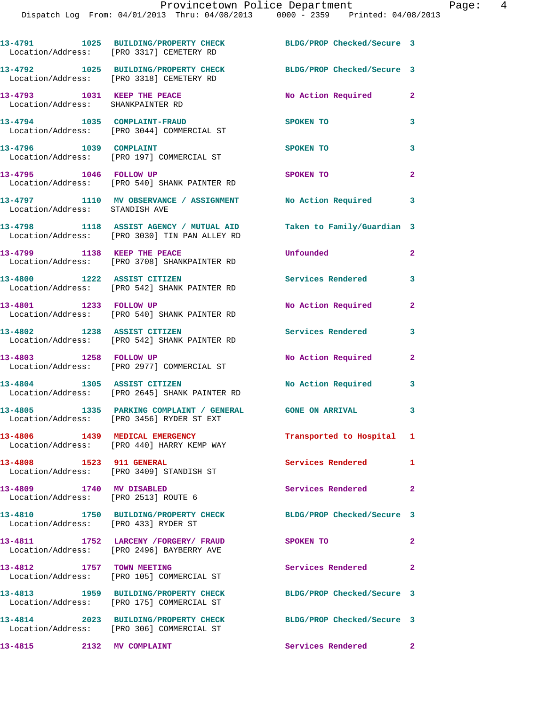Dispatch Log From: 04/01/2013 Thru: 04/08/2013 0000 - 2359 Printed: 04/08/2013

**13-4791 1025 BUILDING/PROPERTY CHECK BLDG/PROP Checked/Secure 3**  Location/Address: [PRO 3317] CEMETERY RD **13-4792 1025 BUILDING/PROPERTY CHECK BLDG/PROP Checked/Secure 3**  Location/Address: [PRO 3318] CEMETERY RD **13-4793 1031 KEEP THE PEACE No Action Required 2**  Location/Address: SHANKPAINTER RD **13-4794 1035 COMPLAINT-FRAUD SPOKEN TO 3**  Location/Address: [PRO 3044] COMMERCIAL ST **13-4796 1039 COMPLAINT SPOKEN TO 3**  Location/Address: [PRO 197] COMMERCIAL ST **13-4795 1046 FOLLOW UP SPOKEN TO 2**  Location/Address: [PRO 540] SHANK PAINTER RD **13-4797 1110 MV OBSERVANCE / ASSIGNMENT No Action Required 3**  Location/Address: STANDISH AVE **13-4798 1118 ASSIST AGENCY / MUTUAL AID Taken to Family/Guardian 3**  Location/Address: [PRO 3030] TIN PAN ALLEY RD **13-4799 1138 KEEP THE PEACE Unfounded 2**  Location/Address: [PRO 3708] SHANKPAINTER RD **13-4800 1222 ASSIST CITIZEN Services Rendered 3**  Location/Address: [PRO 542] SHANK PAINTER RD **13-4801 1233 FOLLOW UP No Action Required 2**  Location/Address: [PRO 540] SHANK PAINTER RD **13-4802 1238 ASSIST CITIZEN Services Rendered 3**  Location/Address: [PRO 542] SHANK PAINTER RD 13-4803 1258 FOLLOW UP **No Action Required** 2 Location/Address: [PRO 2977] COMMERCIAL ST **13-4804 1305 ASSIST CITIZEN No Action Required 3**  Location/Address: [PRO 2645] SHANK PAINTER RD **13-4805 1335 PARKING COMPLAINT / GENERAL GONE ON ARRIVAL 3**  Location/Address: [PRO 3456] RYDER ST EXT **13-4806 1439 MEDICAL EMERGENCY Transported to Hospital 1**  Location/Address: [PRO 440] HARRY KEMP WAY **13-4808 1523 911 GENERAL Services Rendered 1**  Location/Address: [PRO 3409] STANDISH ST **13-4809 1740 MV DISABLED Services Rendered 2**  Location/Address: [PRO 2513] ROUTE 6 **13-4810 1750 BUILDING/PROPERTY CHECK BLDG/PROP Checked/Secure 3**  Location/Address: [PRO 433] RYDER ST **13-4811 1752 LARCENY /FORGERY/ FRAUD SPOKEN TO 2**  Location/Address: [PRO 2496] BAYBERRY AVE **13-4812 1757 TOWN MEETING Services Rendered 2**  Location/Address: [PRO 105] COMMERCIAL ST **13-4813 1959 BUILDING/PROPERTY CHECK BLDG/PROP Checked/Secure 3**  Location/Address: [PRO 175] COMMERCIAL ST **13-4814 2023 BUILDING/PROPERTY CHECK BLDG/PROP Checked/Secure 3**  Location/Address: [PRO 306] COMMERCIAL ST **13-4815 2132 MV COMPLAINT Services Rendered 2**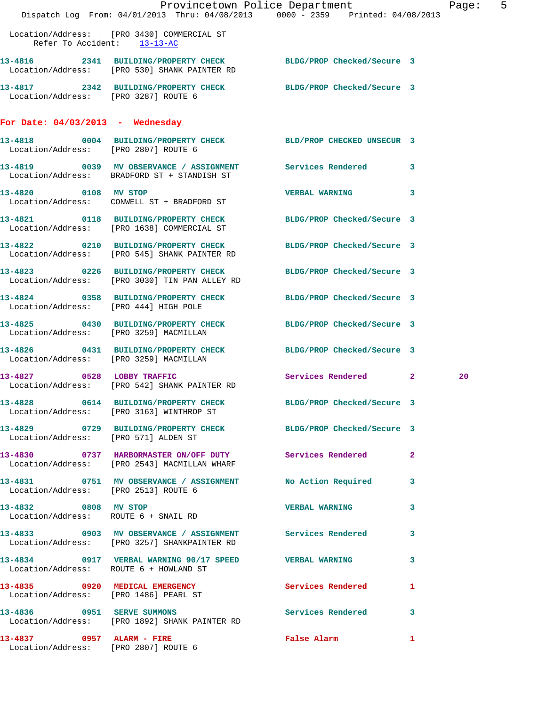|                                                                   | Provincetown Police Department<br>Dispatch Log From: 04/01/2013 Thru: 04/08/2013 0000 - 2359 Printed: 04/08/2013 |                                                             | Page: 5 |
|-------------------------------------------------------------------|------------------------------------------------------------------------------------------------------------------|-------------------------------------------------------------|---------|
|                                                                   | Location/Address: [PRO 3430] COMMERCIAL ST<br>Refer To Accident: 13-13-AC                                        |                                                             |         |
|                                                                   | 13-4816 2341 BUILDING/PROPERTY CHECK BLDG/PROP Checked/Secure 3<br>Location/Address: [PRO 530] SHANK PAINTER RD  |                                                             |         |
| Location/Address: [PRO 3287] ROUTE 6                              | 13-4817 2342 BUILDING/PROPERTY CHECK BLDG/PROP Checked/Secure 3                                                  |                                                             |         |
| For Date: $04/03/2013$ - Wednesday                                |                                                                                                                  |                                                             |         |
| Location/Address: [PRO 2807] ROUTE 6                              | 13-4818 0004 BUILDING/PROPERTY CHECK BLD/PROP CHECKED UNSECUR 3                                                  |                                                             |         |
|                                                                   | 13-4819 0039 MV OBSERVANCE / ASSIGNMENT Services Rendered 3<br>Location/Address: BRADFORD ST + STANDISH ST       |                                                             |         |
|                                                                   | 13-4820 0108 MV STOP<br>Location/Address: CONWELL ST + BRADFORD ST                                               | VERBAL WARNING 3                                            |         |
|                                                                   | 13-4821 0118 BUILDING/PROPERTY CHECK BLDG/PROP Checked/Secure 3<br>Location/Address: [PRO 1638] COMMERCIAL ST    |                                                             |         |
|                                                                   | 13-4822 0210 BUILDING/PROPERTY CHECK BLDG/PROP Checked/Secure 3<br>Location/Address: [PRO 545] SHANK PAINTER RD  |                                                             |         |
|                                                                   | 13-4823 0226 BUILDING/PROPERTY CHECK BLDG/PROP Checked/Secure 3<br>Location/Address: [PRO 3030] TIN PAN ALLEY RD |                                                             |         |
| Location/Address: [PRO 444] HIGH POLE                             | 13-4824 0358 BUILDING/PROPERTY CHECK BLDG/PROP Checked/Secure 3                                                  |                                                             |         |
|                                                                   | 13-4825 0430 BUILDING/PROPERTY CHECK BLDG/PROP Checked/Secure 3<br>Location/Address: [PRO 3259] MACMILLAN        |                                                             |         |
|                                                                   | 13-4826 0431 BUILDING/PROPERTY CHECK BLDG/PROP Checked/Secure 3<br>Location/Address: [PRO 3259] MACMILLAN        |                                                             |         |
|                                                                   | 13-4827 0528 LOBBY TRAFFIC<br>Location/Address: [PRO 542] SHANK PAINTER RD                                       | Services Rendered 2                                         | 20      |
|                                                                   | 13-4828 0614 BUILDING/PROPERTY CHECK BLDG/PROP Checked/Secure 3<br>Location/Address: [PRO 3163] WINTHROP ST      |                                                             |         |
|                                                                   | 13-4829 0729 BUILDING/PROPERTY CHECK BLDG/PROP Checked/Secure 3<br>Location/Address: [PRO 571] ALDEN ST          |                                                             |         |
|                                                                   | 13-4830 0737 HARBORMASTER ON/OFF DUTY Services Rendered 2<br>Location/Address: [PRO 2543] MACMILLAN WHARF        |                                                             |         |
| Location/Address: [PRO 2513] ROUTE 6                              | 13-4831 0751 MV OBSERVANCE / ASSIGNMENT No Action Required 3                                                     |                                                             |         |
| 13-4832 0808 MV STOP<br>Location/Address: ROUTE 6 + SNAIL RD      |                                                                                                                  | VERBAL WARNING 3                                            |         |
|                                                                   | 13-4833 6903 MV OBSERVANCE / ASSIGNMENT Services Rendered 3<br>Location/Address: [PRO 3257] SHANKPAINTER RD      |                                                             |         |
|                                                                   | 13-4834 0917 VERBAL WARNING 90/17 SPEED VERBAL WARNING<br>Location/Address: ROUTE 6 + HOWLAND ST                 | $\mathbf{3}$                                                |         |
|                                                                   | 13-4835 0920 MEDICAL EMERGENCY<br>Location/Address: [PRO 1486] PEARL ST                                          | Services Rendered 1                                         |         |
|                                                                   | 13-4836 0951 SERVE SUMMONS<br>Location/Address: [PRO 1892] SHANK PAINTER RD                                      | Services Rendered 3                                         |         |
| 13-4837 0957 ALARM - FIRE<br>Location/Address: [PRO 2807] ROUTE 6 |                                                                                                                  | False Alarm <b>Exercise Service Service</b><br>$\mathbf{1}$ |         |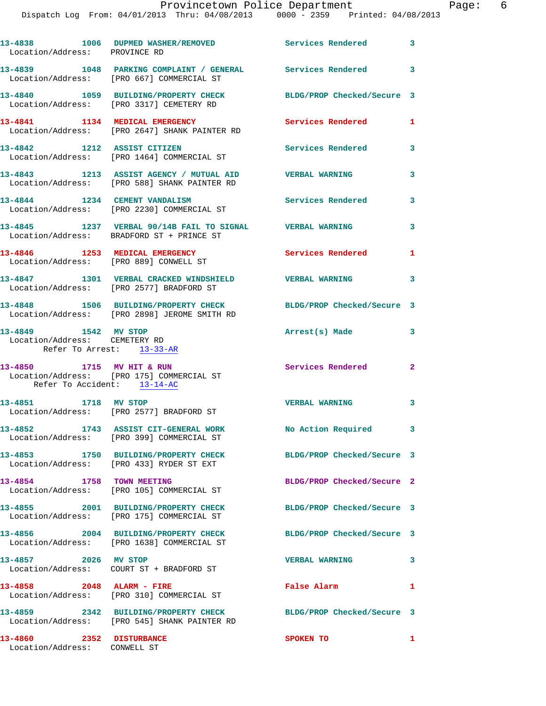## Provincetown Police Department Fage: 6

Dispatch Log From: 04/01/2013

| $\sqrt{D}$ $\mathbf{F}$ $\mathbf{M}$ $\mathbf{N}$ |                  | Corviges Pendered |                     |  |
|---------------------------------------------------|------------------|-------------------|---------------------|--|
|                                                   | Thru: 04/08/2013 | $0000 - 2359$     | Printed: 04/08/2013 |  |
|                                                   |                  |                   |                     |  |

| Location/Address: PROVINCE RD                                                      | 13-4838 1006 DUPMED WASHER/REMOVED Services Rendered 3                                                          |                            |                         |
|------------------------------------------------------------------------------------|-----------------------------------------------------------------------------------------------------------------|----------------------------|-------------------------|
|                                                                                    | 13-4839 1048 PARKING COMPLAINT / GENERAL Services Rendered 3<br>Location/Address: [PRO 667] COMMERCIAL ST       |                            |                         |
|                                                                                    | 13-4840 1059 BUILDING/PROPERTY CHECK<br>Location/Address: [PRO 3317] CEMETERY RD                                | BLDG/PROP Checked/Secure 3 |                         |
|                                                                                    | 13-4841 1134 MEDICAL EMERGENCY<br>Location/Address: [PRO 2647] SHANK PAINTER RD                                 | Services Rendered          | 1                       |
| 13-4842 1212 ASSIST CITIZEN                                                        | Location/Address: [PRO 1464] COMMERCIAL ST                                                                      | Services Rendered          | $\overline{\mathbf{3}}$ |
|                                                                                    | 13-4843 1213 ASSIST AGENCY / MUTUAL AID<br>Location/Address: [PRO 588] SHANK PAINTER RD                         | <b>VERBAL WARNING</b>      | 3                       |
|                                                                                    | 13-4844 1234 CEMENT VANDALISM<br>Location/Address: [PRO 2230] COMMERCIAL ST                                     | <b>Services Rendered</b> 3 |                         |
|                                                                                    | 13-4845 1237 VERBAL 90/14B FAIL TO SIGNAL VERBAL WARNING<br>Location/Address: BRADFORD ST + PRINCE ST           |                            | 3                       |
|                                                                                    | 13-4846 1253 MEDICAL EMERGENCY<br>Location/Address: [PRO 889] CONWELL ST                                        | <b>Services Rendered</b>   | 1                       |
|                                                                                    | 13-4847 1301 VERBAL CRACKED WINDSHIELD VERBAL WARNING<br>Location/Address: [PRO 2577] BRADFORD ST               |                            | $\mathbf{3}$            |
|                                                                                    | 13-4848 1506 BUILDING/PROPERTY CHECK<br>Location/Address: [PRO 2898] JEROME SMITH RD                            | BLDG/PROP Checked/Secure 3 |                         |
| 13-4849 1542 MV STOP<br>Location/Address: CEMETERY RD<br>Refer To Arrest: 13-33-AR |                                                                                                                 | Arrest(s) Made             | 3                       |
| 13-4850 1715 MV HIT & RUN<br>Refer To Accident: 13-14-AC                           | Location/Address: [PRO 175] COMMERCIAL ST                                                                       | <b>Services Rendered</b> 2 |                         |
| 13-4851 1718 MV STOP                                                               | Location/Address: [PRO 2577] BRADFORD ST                                                                        | VERBAL WARNING 3           |                         |
| 13-4852                                                                            | 1743 ASSIST CIT-GENERAL WORK<br>Location/Address: [PRO 399] COMMERCIAL ST                                       | <b>No Action Required</b>  | 3                       |
|                                                                                    |                                                                                                                 | BLDG/PROP Checked/Secure 3 |                         |
| 13-4854 1758 TOWN MEETING                                                          | Location/Address: [PRO 105] COMMERCIAL ST                                                                       | BLDG/PROP Checked/Secure 2 |                         |
|                                                                                    | 13-4855 2001 BUILDING/PROPERTY CHECK<br>Location/Address: [PRO 175] COMMERCIAL ST                               | BLDG/PROP Checked/Secure 3 |                         |
|                                                                                    | 13-4856 2004 BUILDING/PROPERTY CHECK<br>Location/Address: [PRO 1638] COMMERCIAL ST                              | BLDG/PROP Checked/Secure 3 |                         |
| 13-4857 2026 MV STOP                                                               | Location/Address: COURT ST + BRADFORD ST                                                                        | <b>VERBAL WARNING</b>      | 3                       |
| 13-4858 2048 ALARM - FIRE                                                          | Location/Address: [PRO 310] COMMERCIAL ST                                                                       | False Alarm                | 1                       |
|                                                                                    | 13-4859 2342 BUILDING/PROPERTY CHECK BLDG/PROP Checked/Secure 3<br>Location/Address: [PRO 545] SHANK PAINTER RD |                            |                         |
| 13-4860 2352 DISTURBANCE<br>Location/Address: CONWELL ST                           |                                                                                                                 | SPOKEN TO                  | 1                       |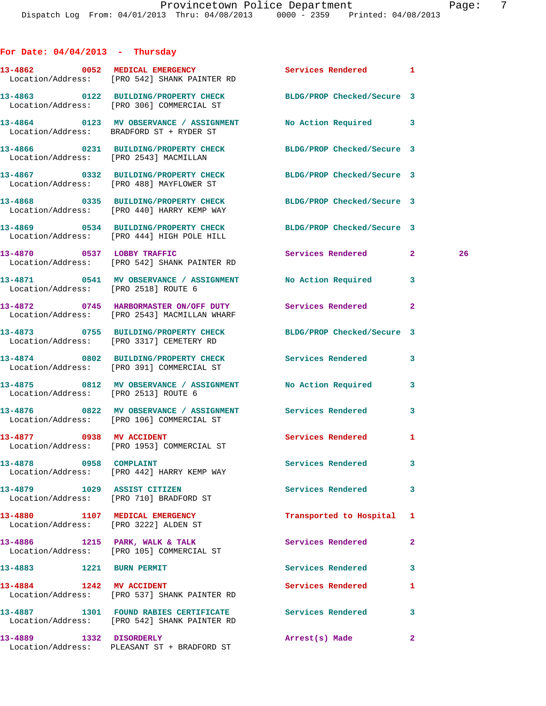| For Date: $04/04/2013$ - Thursday                                       |                                                                                                              |                            |                    |
|-------------------------------------------------------------------------|--------------------------------------------------------------------------------------------------------------|----------------------------|--------------------|
|                                                                         | 13-4862 0052 MEDICAL EMERGENCY<br>Location/Address: [PRO 542] SHANK PAINTER RD                               | Services Rendered 1        |                    |
|                                                                         | 13-4863 0122 BUILDING/PROPERTY CHECK BLDG/PROP Checked/Secure 3<br>Location/Address: [PRO 306] COMMERCIAL ST |                            |                    |
|                                                                         | 13-4864 0123 MV OBSERVANCE / ASSIGNMENT No Action Required 3<br>Location/Address: BRADFORD ST + RYDER ST     |                            |                    |
|                                                                         | 13-4866 0231 BUILDING/PROPERTY CHECK BLDG/PROP Checked/Secure 3<br>Location/Address: [PRO 2543] MACMILLAN    |                            |                    |
|                                                                         | 13-4867 0332 BUILDING/PROPERTY CHECK<br>Location/Address: [PRO 488] MAYFLOWER ST                             | BLDG/PROP Checked/Secure 3 |                    |
|                                                                         | 13-4868 0335 BUILDING/PROPERTY CHECK<br>Location/Address: [PRO 440] HARRY KEMP WAY                           | BLDG/PROP Checked/Secure 3 |                    |
|                                                                         | 13-4869 0534 BUILDING/PROPERTY CHECK<br>Location/Address: [PRO 444] HIGH POLE HILL                           | BLDG/PROP Checked/Secure 3 |                    |
|                                                                         | 13-4870 0537 LOBBY TRAFFIC<br>Location/Address: [PRO 542] SHANK PAINTER RD                                   | Services Rendered          | $\mathbf{2}$<br>26 |
| Location/Address: [PRO 2518] ROUTE 6                                    | 13-4871 0541 MV OBSERVANCE / ASSIGNMENT No Action Required 3                                                 |                            |                    |
|                                                                         | 13-4872 0745 HARBORMASTER ON/OFF DUTY Services Rendered<br>Location/Address: [PRO 2543] MACMILLAN WHARF      |                            | 2                  |
|                                                                         | 13-4873 0755 BUILDING/PROPERTY CHECK BLDG/PROP Checked/Secure 3<br>Location/Address: [PRO 3317] CEMETERY RD  |                            |                    |
|                                                                         | 13-4874 0802 BUILDING/PROPERTY CHECK<br>Location/Address: [PRO 391] COMMERCIAL ST                            | Services Rendered          | 3                  |
| Location/Address: [PRO 2513] ROUTE 6                                    | 13-4875 0812 MV OBSERVANCE / ASSIGNMENT No Action Required                                                   |                            | 3                  |
|                                                                         | 13-4876 6822 MV OBSERVANCE / ASSIGNMENT Services Rendered<br>Location/Address: [PRO 106] COMMERCIAL ST       |                            | 3                  |
| 13-4877 0938 MV ACCIDENT                                                | Location/Address: [PRO 1953] COMMERCIAL ST                                                                   | <b>Services Rendered</b>   | $\mathbf{1}$       |
| 13-4878 0958 COMPLAINT                                                  | Location/Address: [PRO 442] HARRY KEMP WAY                                                                   | Services Rendered          | 3                  |
| 13-4879 1029 ASSIST CITIZEN                                             | Location/Address: [PRO 710] BRADFORD ST                                                                      | Services Rendered          | 3                  |
| 13-4880 1107 MEDICAL EMERGENCY<br>Location/Address: [PRO 3222] ALDEN ST |                                                                                                              | Transported to Hospital    | 1                  |
|                                                                         | 13-4886 1215 PARK, WALK & TALK<br>Location/Address: [PRO 105] COMMERCIAL ST                                  | Services Rendered          | $\mathbf{2}$       |
| 13-4883 1221 BURN PERMIT                                                |                                                                                                              | Services Rendered          | 3                  |
| 13-4884 1242 MV ACCIDENT                                                | Location/Address: [PRO 537] SHANK PAINTER RD                                                                 | Services Rendered          | 1                  |
|                                                                         | 13-4887 1301 FOUND RABIES CERTIFICATE 5ervices Rendered<br>Location/Address: [PRO 542] SHANK PAINTER RD      |                            | 3                  |
| 13-4889 1332 DISORDERLY                                                 | Location/Address: PLEASANT ST + BRADFORD ST                                                                  | Arrest(s) Made             | $\mathbf{2}$       |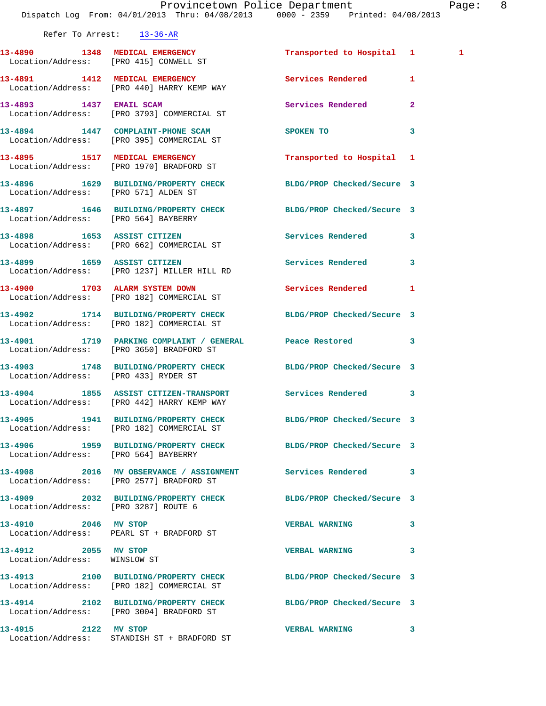|                                                      | Dispatch Log From: 04/01/2013 Thru: 04/08/2013 0000 - 2359 Printed: 04/08/2013                               | Provincetown Police Department                                                                                 | Page: 8        |  |
|------------------------------------------------------|--------------------------------------------------------------------------------------------------------------|----------------------------------------------------------------------------------------------------------------|----------------|--|
| Refer To Arrest: 13-36-AR                            |                                                                                                              |                                                                                                                |                |  |
|                                                      | 13-4890 1348 MEDICAL EMERGENCY<br>Location/Address: [PRO 415] CONWELL ST                                     | Transported to Hospital 1                                                                                      | $\mathbf{1}$   |  |
|                                                      | 13-4891 1412 MEDICAL EMERGENCY<br>Location/Address: [PRO 440] HARRY KEMP WAY                                 | Services Rendered 1                                                                                            |                |  |
|                                                      | 13-4893 1437 EMAIL SCAM<br>Location/Address: [PRO 3793] COMMERCIAL ST                                        | Services Rendered                                                                                              | $\overline{2}$ |  |
|                                                      | 13-4894 1447 COMPLAINT-PHONE SCAM<br>Location/Address: [PRO 395] COMMERCIAL ST                               | SPOKEN TO THE STATE OF THE STATE OF THE STATE OF THE STATE OF THE STATE OF THE STATE OF THE STATE OF THE STATE | $\mathbf{3}$   |  |
|                                                      | 13-4895 1517 MEDICAL EMERGENCY<br>Location/Address: [PRO 1970] BRADFORD ST                                   | Transported to Hospital 1                                                                                      |                |  |
| Location/Address: [PRO 571] ALDEN ST                 | 13-4896 1629 BUILDING/PROPERTY CHECK BLDG/PROP Checked/Secure 3                                              |                                                                                                                |                |  |
|                                                      | 13-4897 1646 BUILDING/PROPERTY CHECK BLDG/PROP Checked/Secure 3<br>Location/Address: [PRO 564] BAYBERRY      |                                                                                                                |                |  |
|                                                      | 13-4898 1653 ASSIST CITIZEN<br>Location/Address: [PRO 662] COMMERCIAL ST                                     | Services Rendered 3                                                                                            |                |  |
|                                                      | 13-4899 1659 ASSIST CITIZEN<br>Location/Address: [PRO 1237] MILLER HILL RD                                   | Services Rendered 3                                                                                            |                |  |
|                                                      | 13-4900 1703 ALARM SYSTEM DOWN<br>Location/Address: [PRO 182] COMMERCIAL ST                                  | Services Rendered                                                                                              | 1              |  |
|                                                      | 13-4902 1714 BUILDING/PROPERTY CHECK BLDG/PROP Checked/Secure 3<br>Location/Address: [PRO 182] COMMERCIAL ST |                                                                                                                |                |  |
|                                                      | 13-4901 1719 PARKING COMPLAINT / GENERAL Peace Restored 3<br>Location/Address: [PRO 3650] BRADFORD ST        |                                                                                                                |                |  |
| Location/Address: [PRO 433] RYDER ST                 | 13-4903 1748 BUILDING/PROPERTY CHECK BLDG/PROP Checked/Secure 3                                              |                                                                                                                |                |  |
|                                                      | 13-4904 1855 ASSIST CITIZEN-TRANSPORT Services Rendered 3<br>Location/Address: [PRO 442] HARRY KEMP WAY      |                                                                                                                |                |  |
|                                                      | 13-4905 1941 BUILDING/PROPERTY CHECK BLDG/PROP Checked/Secure 3<br>Location/Address: [PRO 182] COMMERCIAL ST |                                                                                                                |                |  |
| Location/Address: [PRO 564] BAYBERRY                 | 13-4906 1959 BUILDING/PROPERTY CHECK BLDG/PROP Checked/Secure 3                                              |                                                                                                                |                |  |
|                                                      | 13-4908 2016 MV OBSERVANCE / ASSIGNMENT Services Rendered 3<br>Location/Address: [PRO 2577] BRADFORD ST      |                                                                                                                |                |  |
| Location/Address: [PRO 3287] ROUTE 6                 | 13-4909 2032 BUILDING/PROPERTY CHECK BLDG/PROP Checked/Secure 3                                              |                                                                                                                |                |  |
| 13-4910 2046 MV STOP                                 | Location/Address: PEARL ST + BRADFORD ST                                                                     | <b>VERBAL WARNING</b>                                                                                          | 3              |  |
| 13-4912 2055 MV STOP<br>Location/Address: WINSLOW ST |                                                                                                              | <b>VERBAL WARNING</b>                                                                                          | 3              |  |
|                                                      | 13-4913 2100 BUILDING/PROPERTY CHECK BLDG/PROP Checked/Secure 3<br>Location/Address: [PRO 182] COMMERCIAL ST |                                                                                                                |                |  |
|                                                      | 13-4914 2102 BUILDING/PROPERTY CHECK BLDG/PROP Checked/Secure 3<br>Location/Address: [PRO 3004] BRADFORD ST  |                                                                                                                |                |  |
| 13-4915 2122 MV STOP                                 | Location/Address: STANDISH ST + BRADFORD ST                                                                  | VERBAL WARNING 3                                                                                               |                |  |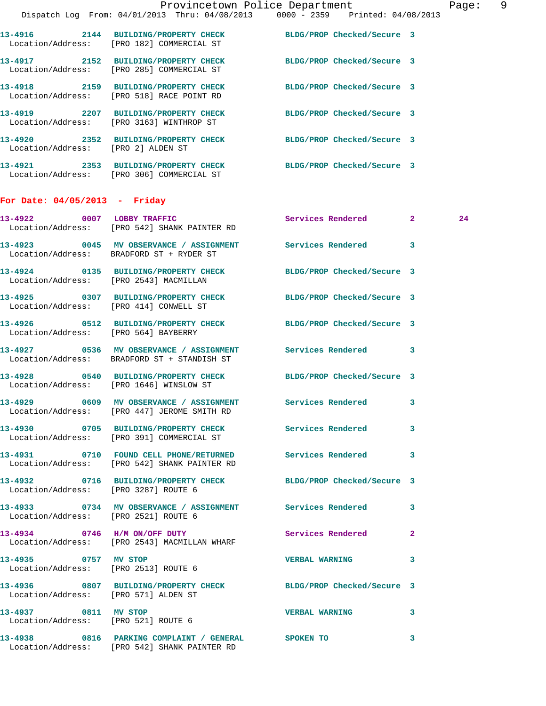|                                        |                                                                                                    | Provincetown Police Department<br>Dispatch Log From: 04/01/2013 Thru: 04/08/2013 0000 - 2359 Printed: 04/08/2013     | Page: 9 |
|----------------------------------------|----------------------------------------------------------------------------------------------------|----------------------------------------------------------------------------------------------------------------------|---------|
|                                        |                                                                                                    |                                                                                                                      |         |
|                                        | Location/Address: [PRO 182] COMMERCIAL ST                                                          | 13-4916 2144 BUILDING/PROPERTY CHECK BLDG/PROP Checked/Secure 3                                                      |         |
|                                        | Location/Address: [PRO 285] COMMERCIAL ST                                                          | 13-4917 2152 BUILDING/PROPERTY CHECK BLDG/PROP Checked/Secure 3                                                      |         |
|                                        |                                                                                                    | 13-4918   2159   BUILDING/PROPERTY CHECK   BLDG/PROP Checked/Secure   3<br>Location/Address: [PRO 518] RACE POINT RD |         |
|                                        | Location/Address: [PRO 3163] WINTHROP ST                                                           | 13-4919 2207 BUILDING/PROPERTY CHECK BLDG/PROP Checked/Secure 3                                                      |         |
| Location/Address: [PRO 2] ALDEN ST     |                                                                                                    | 13-4920 2352 BUILDING/PROPERTY CHECK BLDG/PROP Checked/Secure 3                                                      |         |
|                                        | Location/Address: [PRO 306] COMMERCIAL ST                                                          | 13-4921 2353 BUILDING/PROPERTY CHECK BLDG/PROP Checked/Secure 3                                                      |         |
| For Date: $04/05/2013$ - Friday        |                                                                                                    |                                                                                                                      |         |
|                                        | 13-4922 0007 LOBBY TRAFFIC<br>Location/Address: [PRO 542] SHANK PAINTER RD                         | Services Rendered 2                                                                                                  | 24      |
|                                        | Location/Address: BRADFORD ST + RYDER ST                                                           | 13-4923 0045 MV OBSERVANCE / ASSIGNMENT Services Rendered 3                                                          |         |
| Location/Address: [PRO 2543] MACMILLAN |                                                                                                    | 13-4924 0135 BUILDING/PROPERTY CHECK BLDG/PROP Checked/Secure 3                                                      |         |
| Location/Address: [PRO 414] CONWELL ST |                                                                                                    | 13-4925 0307 BUILDING/PROPERTY CHECK BLDG/PROP Checked/Secure 3                                                      |         |
| Location/Address: [PRO 564] BAYBERRY   |                                                                                                    | 13-4926 0512 BUILDING/PROPERTY CHECK BLDG/PROP Checked/Secure 3                                                      |         |
|                                        | Location/Address: BRADFORD ST + STANDISH ST                                                        | 13-4927 0536 MV OBSERVANCE / ASSIGNMENT Services Rendered 3                                                          |         |
|                                        | Location/Address: [PRO 1646] WINSLOW ST                                                            | 13-4928 0540 BUILDING/PROPERTY CHECK BLDG/PROP Checked/Secure 3                                                      |         |
|                                        | Location/Address: [PRO 447] JEROME SMITH RD                                                        | 13-4929 6609 MV OBSERVANCE / ASSIGNMENT Services Rendered 3                                                          |         |
|                                        | Location/Address: [PRO 391] COMMERCIAL ST                                                          | 13-4930 0705 BUILDING/PROPERTY CHECK Services Rendered 3                                                             |         |
|                                        | Location/Address: [PRO 542] SHANK PAINTER RD                                                       | 13-4931 0710 FOUND CELL PHONE/RETURNED Services Rendered 3                                                           |         |
| Location/Address: [PRO 3287] ROUTE 6   |                                                                                                    | 13-4932 0716 BUILDING/PROPERTY CHECK BLDG/PROP Checked/Secure 3                                                      |         |
| Location/Address: [PRO 2521] ROUTE 6   |                                                                                                    | 13-4933 0734 MV OBSERVANCE / ASSIGNMENT Services Rendered 3                                                          |         |
|                                        | 13-4934 0746 H/M ON/OFF DUTY<br>Location/Address: [PRO 2543] MACMILLAN WHARF                       | Services Rendered 2                                                                                                  |         |
| 13-4935 0757 MV STOP                   | Location/Address: [PRO 2513] ROUTE 6                                                               | VERBAL WARNING 3                                                                                                     |         |
| Location/Address: [PRO 571] ALDEN ST   |                                                                                                    | 13-4936 0807 BUILDING/PROPERTY CHECK BLDG/PROP Checked/Secure 3                                                      |         |
| 13-4937 0811 MV STOP                   | Location/Address: [PRO 521] ROUTE 6                                                                | <b>VERBAL WARNING 3</b>                                                                                              |         |
|                                        | 13-4938 0816 PARKING COMPLAINT / GENERAL SPOKEN TO<br>Location/Address: [PRO 542] SHANK PAINTER RD |                                                                                                                      | 3       |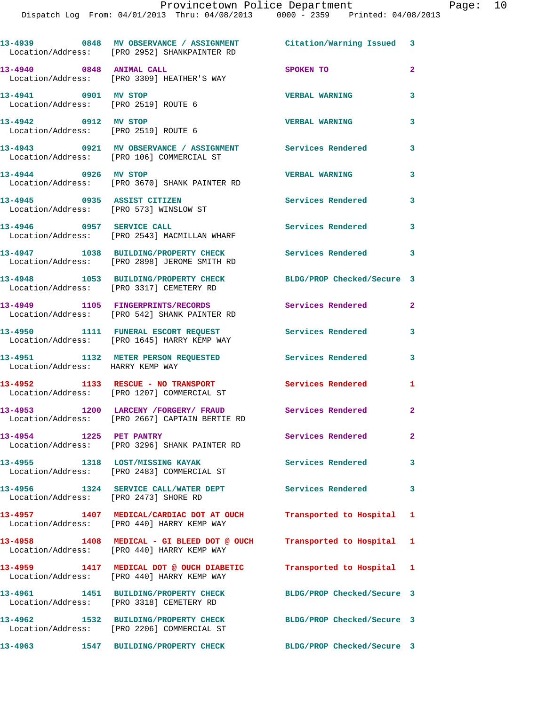|                                                              | 13-4939 0848 MV OBSERVANCE / ASSIGNMENT Citation/Warning Issued 3<br>Location/Address: [PRO 2952] SHANKPAINTER RD |                            |                |
|--------------------------------------------------------------|-------------------------------------------------------------------------------------------------------------------|----------------------------|----------------|
| 13-4940 0848 ANIMAL CALL                                     | Location/Address: [PRO 3309] HEATHER'S WAY                                                                        | SPOKEN TO                  | $\overline{a}$ |
| 13-4941 0901 MV STOP<br>Location/Address: [PRO 2519] ROUTE 6 |                                                                                                                   | <b>VERBAL WARNING</b>      | 3              |
| 13-4942 0912 MV STOP<br>Location/Address: [PRO 2519] ROUTE 6 |                                                                                                                   | <b>VERBAL WARNING</b>      | 3              |
|                                                              | 13-4943 0921 MV OBSERVANCE / ASSIGNMENT Services Rendered<br>Location/Address: [PRO 106] COMMERCIAL ST            |                            | $\mathbf{3}$   |
| 13-4944 0926 MV STOP                                         | Location/Address: [PRO 3670] SHANK PAINTER RD                                                                     | <b>VERBAL WARNING</b>      | 3              |
| 13-4945 0935 ASSIST CITIZEN                                  | Location/Address: [PRO 573] WINSLOW ST                                                                            | Services Rendered          | $\mathbf{3}$   |
| 13-4946 0957 SERVICE CALL                                    | Location/Address: [PRO 2543] MACMILLAN WHARF                                                                      | Services Rendered          | 3              |
|                                                              | 13-4947 1038 BUILDING/PROPERTY CHECK<br>Location/Address: [PRO 2898] JEROME SMITH RD                              | <b>Services Rendered</b>   | $\overline{3}$ |
|                                                              | 13-4948 1053 BUILDING/PROPERTY CHECK<br>Location/Address: [PRO 3317] CEMETERY RD                                  | BLDG/PROP Checked/Secure 3 |                |
|                                                              | 13-4949 1105 FINGERPRINTS/RECORDS<br>Location/Address: [PRO 542] SHANK PAINTER RD                                 | Services Rendered          | $\mathbf{2}$   |
|                                                              | 13-4950 1111 FUNERAL ESCORT REQUEST<br>Location/Address: [PRO 1645] HARRY KEMP WAY                                | <b>Services Rendered</b>   | 3              |
| Location/Address: HARRY KEMP WAY                             | 13-4951 1132 METER PERSON REQUESTED Services Rendered                                                             |                            | 3              |
|                                                              | 13-4952 1133 RESCUE - NO TRANSPORT<br>Location/Address: [PRO 1207] COMMERCIAL ST                                  | <b>Services Rendered</b>   | 1              |
|                                                              | 13-4953 1200 LARCENY /FORGERY/ FRAUD<br>Location/Address: [PRO 2667] CAPTAIN BERTIE RD                            | <b>Services Rendered</b>   | $\mathbf{2}$   |
| 13-4954 1225 PET PANTRY                                      | Location/Address: [PRO 3296] SHANK PAINTER RD                                                                     | Services Rendered          | $\mathbf{2}$   |
| 13-4955 1318 LOST/MISSING KAYAK                              | Location/Address: [PRO 2483] COMMERCIAL ST                                                                        | Services Rendered 3        |                |
| Location/Address: [PRO 2473] SHORE RD                        | 13-4956 1324 SERVICE CALL/WATER DEPT                                                                              | Services Rendered          | $\mathbf{3}$   |
|                                                              | 13-4957 1407 MEDICAL/CARDIAC DOT AT OUCH<br>Location/Address: [PRO 440] HARRY KEMP WAY                            | Transported to Hospital 1  |                |
|                                                              | 13-4958 1408 MEDICAL - GI BLEED DOT @ OUCH<br>Location/Address: [PRO 440] HARRY KEMP WAY                          | Transported to Hospital 1  |                |
|                                                              | 13-4959 1417 MEDICAL DOT @ OUCH DIABETIC<br>Location/Address: [PRO 440] HARRY KEMP WAY                            | Transported to Hospital 1  |                |
|                                                              | 13-4961 1451 BUILDING/PROPERTY CHECK<br>Location/Address: [PRO 3318] CEMETERY RD                                  | BLDG/PROP Checked/Secure 3 |                |
|                                                              | 13-4962 1532 BUILDING/PROPERTY CHECK BLDG/PROP Checked/Secure 3<br>Location/Address: [PRO 2206] COMMERCIAL ST     |                            |                |
|                                                              |                                                                                                                   | BLDG/PROP Checked/Secure 3 |                |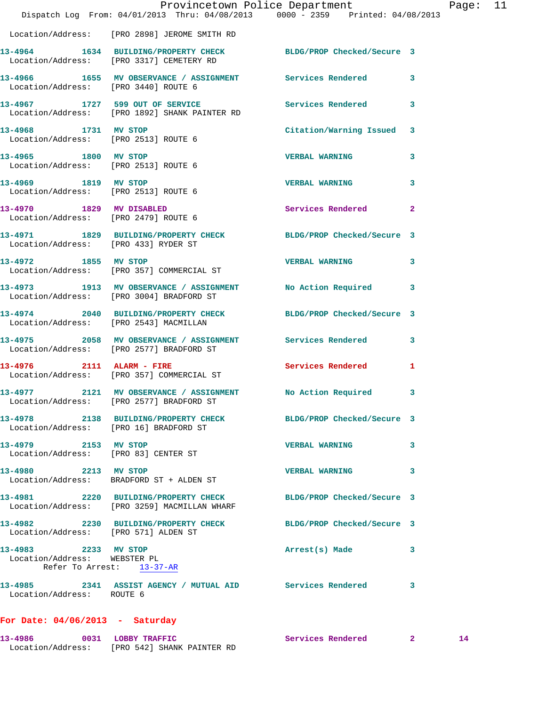|                                                                                      |                           | Provincetown Police Department                                  |                                                                                | Page: 11 |  |
|--------------------------------------------------------------------------------------|---------------------------|-----------------------------------------------------------------|--------------------------------------------------------------------------------|----------|--|
|                                                                                      |                           |                                                                 | Dispatch Log From: 04/01/2013 Thru: 04/08/2013 0000 - 2359 Printed: 04/08/2013 |          |  |
| Location/Address: [PRO 2898] JEROME SMITH RD                                         |                           |                                                                 |                                                                                |          |  |
| Location/Address: [PRO 3317] CEMETERY RD                                             |                           | 13-4964 1634 BUILDING/PROPERTY CHECK BLDG/PROP Checked/Secure 3 |                                                                                |          |  |
| Location/Address: [PRO 3440] ROUTE 6                                                 |                           | 13-4966 1655 MV OBSERVANCE / ASSIGNMENT Services Rendered 3     |                                                                                |          |  |
| Location/Address: [PRO 1892] SHANK PAINTER RD                                        |                           | 13-4967 1727 599 OUT OF SERVICE Services Rendered 3             |                                                                                |          |  |
| 13-4968 1731 MV STOP<br>Location/Address: [PRO 2513] ROUTE 6                         |                           |                                                                 | Citation/Warning Issued 3                                                      |          |  |
| 13-4965 1800 MV STOP<br>Location/Address: [PRO 2513] ROUTE 6                         |                           | VERBAL WARNING 3                                                |                                                                                |          |  |
| 13-4969 1819 MV STOP<br>Location/Address: [PRO 2513] ROUTE 6                         |                           | <b>VERBAL WARNING</b>                                           | 3                                                                              |          |  |
| 13-4970 1829 MV DISABLED<br>Location/Address: [PRO 2479] ROUTE 6                     |                           | Services Rendered 2                                             |                                                                                |          |  |
| Location/Address: [PRO 433] RYDER ST                                                 |                           | 13-4971 1829 BUILDING/PROPERTY CHECK BLDG/PROP Checked/Secure 3 |                                                                                |          |  |
| 13-4972 1855 MV STOP<br>Location/Address: [PRO 357] COMMERCIAL ST                    |                           | VERBAL WARNING 3                                                |                                                                                |          |  |
| Location/Address: [PRO 3004] BRADFORD ST                                             |                           | 13-4973 1913 MV OBSERVANCE / ASSIGNMENT No Action Required 3    |                                                                                |          |  |
| Location/Address: [PRO 2543] MACMILLAN                                               |                           | 13-4974 2040 BUILDING/PROPERTY CHECK BLDG/PROP Checked/Secure 3 |                                                                                |          |  |
| Location/Address: [PRO 2577] BRADFORD ST                                             |                           | 13-4975 2058 MV OBSERVANCE / ASSIGNMENT Services Rendered 3     |                                                                                |          |  |
| 13-4976 2111 ALARM - FIRE<br>Location/Address: [PRO 357] COMMERCIAL ST               |                           | Services Rendered 1                                             |                                                                                |          |  |
| Location/Address: [PRO 2577] BRADFORD ST                                             |                           | 13-4977 2121 MV OBSERVANCE / ASSIGNMENT No Action Required 3    |                                                                                |          |  |
| Location/Address: [PRO 16] BRADFORD ST                                               |                           | 13-4978 2138 BUILDING/PROPERTY CHECK BLDG/PROP Checked/Secure 3 |                                                                                |          |  |
| 13-4979 2153 MV STOP<br>Location/Address: [PRO 83] CENTER ST                         |                           | <b>VERBAL WARNING</b>                                           | 3                                                                              |          |  |
| 13-4980 2213 MV STOP<br>Location/Address: BRADFORD ST + ALDEN ST                     |                           | <b>VERBAL WARNING</b>                                           | 3                                                                              |          |  |
| 13-4981 2220 BUILDING/PROPERTY CHECK<br>Location/Address: [PRO 3259] MACMILLAN WHARF |                           |                                                                 | BLDG/PROP Checked/Secure 3                                                     |          |  |
| Location/Address: [PRO 571] ALDEN ST                                                 |                           | 13-4982 2230 BUILDING/PROPERTY CHECK BLDG/PROP Checked/Secure 3 |                                                                                |          |  |
| 13-4983 2233 MV STOP<br>Location/Address: WEBSTER PL                                 | Refer To Arrest: 13-37-AR | Arrest(s) Made                                                  | 3                                                                              |          |  |
| Location/Address: ROUTE 6                                                            |                           | 13-4985 2341 ASSIST AGENCY / MUTUAL AID Services Rendered 3     |                                                                                |          |  |
| For Date: $04/06/2013$ - Saturday                                                    |                           |                                                                 |                                                                                |          |  |

**13-4986 0031 LOBBY TRAFFIC Services Rendered 2 14** 

Location/Address: [PRO 542] SHANK PAINTER RD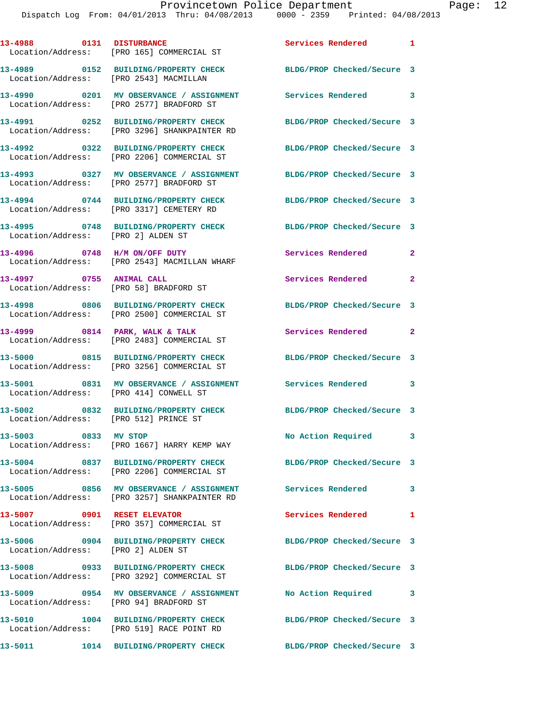|                                                                    | 13-4988 0131 DISTURBANCE<br>Location/Address: [PRO 165] COMMERCIAL ST                                         | Services Rendered 1               |              |
|--------------------------------------------------------------------|---------------------------------------------------------------------------------------------------------------|-----------------------------------|--------------|
| Location/Address: [PRO 2543] MACMILLAN                             | 13-4989 0152 BUILDING/PROPERTY CHECK BLDG/PROP Checked/Secure 3                                               |                                   |              |
|                                                                    | 13-4990 0201 MV OBSERVANCE / ASSIGNMENT<br>Location/Address: [PRO 2577] BRADFORD ST                           | Services Rendered 3               |              |
|                                                                    | 13-4991 0252 BUILDING/PROPERTY CHECK<br>Location/Address: [PRO 3296] SHANKPAINTER RD                          | BLDG/PROP Checked/Secure 3        |              |
|                                                                    | 13-4992 0322 BUILDING/PROPERTY CHECK<br>Location/Address: [PRO 2206] COMMERCIAL ST                            | BLDG/PROP Checked/Secure 3        |              |
|                                                                    | 13-4993 0327 MV OBSERVANCE / ASSIGNMENT<br>Location/Address: [PRO 2577] BRADFORD ST                           | BLDG/PROP Checked/Secure 3        |              |
|                                                                    | 13-4994 0744 BUILDING/PROPERTY CHECK<br>Location/Address: [PRO 3317] CEMETERY RD                              | BLDG/PROP Checked/Secure 3        |              |
| Location/Address: [PRO 2] ALDEN ST                                 | 13-4995 0748 BUILDING/PROPERTY CHECK                                                                          | BLDG/PROP Checked/Secure 3        |              |
|                                                                    | 13-4996 0748 H/M ON/OFF DUTY<br>Location/Address: [PRO 2543] MACMILLAN WHARF                                  | Services Rendered 2               |              |
| 13-4997 0755 ANIMAL CALL<br>Location/Address: [PRO 58] BRADFORD ST |                                                                                                               | Services Rendered                 | $\mathbf{2}$ |
|                                                                    | 13-4998 0806 BUILDING/PROPERTY CHECK<br>Location/Address: [PRO 2500] COMMERCIAL ST                            | BLDG/PROP Checked/Secure 3        |              |
|                                                                    | 13-4999 0814 PARK, WALK & TALK<br>Location/Address: [PRO 2483] COMMERCIAL ST                                  | Services Rendered                 | $\mathbf{2}$ |
|                                                                    | 13-5000 0815 BUILDING/PROPERTY CHECK<br>Location/Address: [PRO 3256] COMMERCIAL ST                            | BLDG/PROP Checked/Secure 3        |              |
| Location/Address: [PRO 414] CONWELL ST                             | 13-5001 0831 MV OBSERVANCE / ASSIGNMENT Services Rendered 3                                                   |                                   |              |
| Location/Address: [PRO 512] PRINCE ST                              | 13-5002 0832 BUILDING/PROPERTY CHECK BLDG/PROP Checked/Secure 3                                               |                                   |              |
| 13-5003 0833 MV STOP                                               | Location/Address: [PRO 1667] HARRY KEMP WAY                                                                   | No Action Required                | 3            |
|                                                                    | 13-5004 0837 BUILDING/PROPERTY CHECK<br>Location/Address: [PRO 2206] COMMERCIAL ST                            | BLDG/PROP Checked/Secure 3        |              |
|                                                                    | 13-5005 0856 MV OBSERVANCE / ASSIGNMENT Services Rendered<br>Location/Address: [PRO 3257] SHANKPAINTER RD     |                                   | 3            |
| 13-5007 0901 RESET ELEVATOR                                        | Location/Address: [PRO 357] COMMERCIAL ST                                                                     | Services Rendered<br>$\mathbf{1}$ |              |
| Location/Address: [PRO 2] ALDEN ST                                 | 13-5006 0904 BUILDING/PROPERTY CHECK                                                                          | BLDG/PROP Checked/Secure 3        |              |
|                                                                    | 13-5008 0933 BUILDING/PROPERTY CHECK BLDG/PROP Checked/Secure 3<br>Location/Address: [PRO 3292] COMMERCIAL ST |                                   |              |
| Location/Address: [PRO 94] BRADFORD ST                             | 13-5009 0954 MV OBSERVANCE / ASSIGNMENT No Action Required                                                    |                                   | 3            |
|                                                                    | 13-5010 1004 BUILDING/PROPERTY CHECK<br>Location/Address: [PRO 519] RACE POINT RD                             | BLDG/PROP Checked/Secure 3        |              |
| 13-5011                                                            | 1014 BUILDING/PROPERTY CHECK                                                                                  | BLDG/PROP Checked/Secure 3        |              |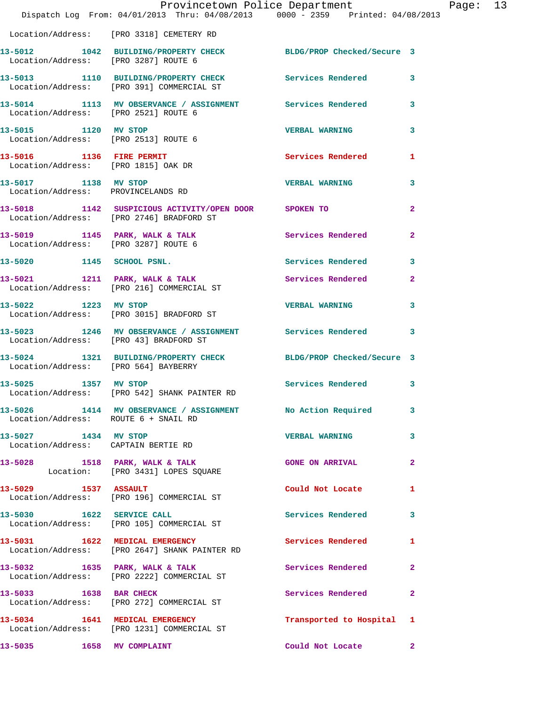|                                                             | Dispatch Log From: 04/01/2013 Thru: 04/08/2013 0000 - 2359 Printed: 04/08/2013                        | Provincetown Police Department Page: 13 |              |  |
|-------------------------------------------------------------|-------------------------------------------------------------------------------------------------------|-----------------------------------------|--------------|--|
|                                                             | Location/Address: [PRO 3318] CEMETERY RD                                                              |                                         |              |  |
| Location/Address: [PRO 3287] ROUTE 6                        | 13-5012 1042 BUILDING/PROPERTY CHECK BLDG/PROP Checked/Secure 3                                       |                                         |              |  |
|                                                             | 13-5013 1110 BUILDING/PROPERTY CHECK Services Rendered 3<br>Location/Address: [PRO 391] COMMERCIAL ST |                                         |              |  |
| Location/Address: [PRO 2521] ROUTE 6                        | 13-5014 1113 MV OBSERVANCE / ASSIGNMENT Services Rendered 3                                           |                                         |              |  |
| Location/Address: [PRO 2513] ROUTE 6                        | 13-5015 1120 MV STOP                                                                                  | <b>VERBAL WARNING</b>                   | $\mathbf{3}$ |  |
| Location/Address: [PRO 1815] OAK DR                         | 13-5016 1136 FIRE PERMIT                                                                              | Services Rendered 1                     |              |  |
| 13-5017 1138 MV STOP<br>Location/Address: PROVINCELANDS RD  |                                                                                                       | <b>VERBAL WARNING</b>                   | $\mathbf{3}$ |  |
|                                                             | 13-5018 1142 SUSPICIOUS ACTIVITY/OPEN DOOR SPOKEN TO<br>Location/Address: [PRO 2746] BRADFORD ST      |                                         | $\mathbf{2}$ |  |
|                                                             |                                                                                                       |                                         | $\mathbf{2}$ |  |
|                                                             | 13-5020 1145 SCHOOL PSNL.                                                                             | <b>Services Rendered</b>                | 3            |  |
|                                                             | 13-5021 1211 PARK, WALK & TALK 1999 Services Rendered 2<br>Location/Address: [PRO 216] COMMERCIAL ST  |                                         |              |  |
| 13-5022 1223 MV STOP                                        | Location/Address: [PRO 3015] BRADFORD ST                                                              | <b>VERBAL WARNING</b>                   | 3            |  |
| Location/Address: [PRO 43] BRADFORD ST                      | 13-5023 1246 MV OBSERVANCE / ASSIGNMENT Services Rendered 3                                           |                                         |              |  |
| Location/Address: [PRO 564] BAYBERRY                        | 13-5024 1321 BUILDING/PROPERTY CHECK BLDG/PROP Checked/Secure 3                                       |                                         |              |  |
|                                                             | 13-5025 1357 MV STOP<br>Location/Address: [PRO 542] SHANK PAINTER RD                                  | Services Rendered 3                     |              |  |
| Location/Address: ROUTE 6 + SNAIL RD                        | 13-5026 1414 MV OBSERVANCE / ASSIGNMENT No Action Required 3                                          |                                         |              |  |
| 13-5027 1434 MV STOP<br>Location/Address: CAPTAIN BERTIE RD |                                                                                                       | <b>VERBAL WARNING</b>                   | $\mathbf{3}$ |  |
|                                                             | 13-5028 1518 PARK, WALK & TALK CONE ON ARRIVAL 2<br>Location: [PRO 3431] LOPES SQUARE                 |                                         |              |  |
|                                                             | 13-5029 1537 ASSAULT<br>Location/Address: [PRO 196] COMMERCIAL ST                                     | Could Not Locate                        | 1            |  |
| 13-5030 1622 SERVICE CALL                                   | Location/Address: [PRO 105] COMMERCIAL ST                                                             | Services Rendered 3                     |              |  |
|                                                             | 13-5031 1622 MEDICAL EMERGENCY<br>Location/Address: [PRO 2647] SHANK PAINTER RD                       | Services Rendered                       | $\mathbf{1}$ |  |
|                                                             | 13-5032 1635 PARK, WALK & TALK Services Rendered<br>Location/Address: [PRO 2222] COMMERCIAL ST        |                                         | $\mathbf{2}$ |  |
|                                                             | 13-5033 1638 BAR CHECK<br>Location/Address: [PRO 272] COMMERCIAL ST                                   | Services Rendered                       | $\mathbf{2}$ |  |
|                                                             | 13-5034 1641 MEDICAL EMERGENCY<br>Location/Address: [PRO 1231] COMMERCIAL ST                          | Transported to Hospital 1               |              |  |
| 13-5035 1658 MV COMPLAINT                                   |                                                                                                       | Could Not Locate 2                      |              |  |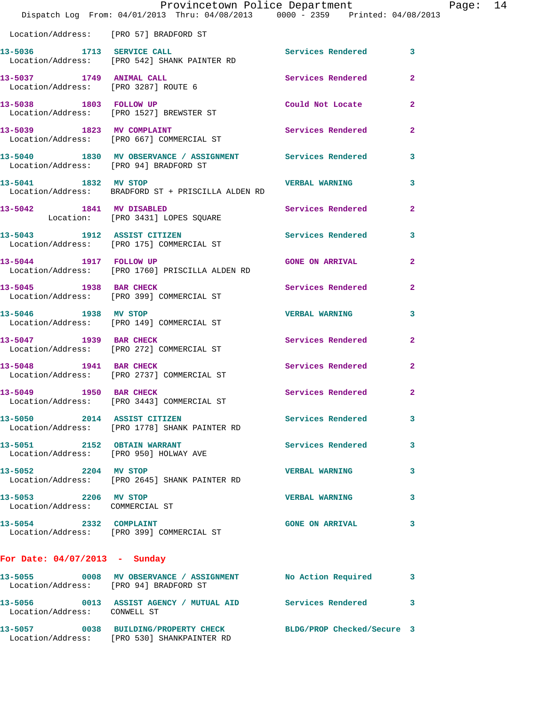|                                                                  | Provincetown Police Department<br>Dispatch Log From: 04/01/2013 Thru: 04/08/2013 0000 - 2359 Printed: 04/08/2013 |                            |                |
|------------------------------------------------------------------|------------------------------------------------------------------------------------------------------------------|----------------------------|----------------|
| Location/Address: [PRO 57] BRADFORD ST                           |                                                                                                                  |                            |                |
| 13-5036 1713 SERVICE CALL                                        | Location/Address: [PRO 542] SHANK PAINTER RD                                                                     | <b>Services Rendered</b>   | 3              |
| 13-5037 1749 ANIMAL CALL<br>Location/Address: [PRO 3287] ROUTE 6 |                                                                                                                  | Services Rendered          | $\overline{a}$ |
| 13-5038 1803 FOLLOW UP                                           | Location/Address: [PRO 1527] BREWSTER ST                                                                         | Could Not Locate           | $\overline{a}$ |
|                                                                  | 13-5039 1823 MV COMPLAINT<br>Location/Address: [PRO 667] COMMERCIAL ST                                           | Services Rendered          | $\mathbf{2}$   |
| Location/Address: [PRO 94] BRADFORD ST                           | 13-5040 1830 MV OBSERVANCE / ASSIGNMENT Services Rendered                                                        |                            | 3              |
| 13-5041 1832 MV STOP                                             | Location/Address: BRADFORD ST + PRISCILLA ALDEN RD                                                               | <b>VERBAL WARNING</b>      | 3              |
| 13-5042 1841 MV DISABLED                                         | Location: [PRO 3431] LOPES SQUARE                                                                                | Services Rendered          | $\overline{2}$ |
|                                                                  |                                                                                                                  | <b>Services Rendered</b>   | 3              |
| 13-5044 1917 FOLLOW UP                                           | Location/Address: [PRO 1760] PRISCILLA ALDEN RD                                                                  | <b>GONE ON ARRIVAL</b>     | 2              |
| 13-5045 1938 BAR CHECK                                           | Location/Address: [PRO 399] COMMERCIAL ST                                                                        | Services Rendered          | $\overline{a}$ |
| 13-5046 1938 MV STOP                                             | Location/Address: [PRO 149] COMMERCIAL ST                                                                        | <b>VERBAL WARNING</b>      | 3              |
| 13-5047 1939 BAR CHECK                                           | Location/Address: [PRO 272] COMMERCIAL ST                                                                        | Services Rendered          | $\overline{a}$ |
| 13-5048 1941 BAR CHECK                                           | Location/Address: [PRO 2737] COMMERCIAL ST                                                                       | Services Rendered          | 2              |
| 13-5049 1950 BAR CHECK                                           | Location/Address: [PRO 3443] COMMERCIAL ST                                                                       | Services Rendered          | $\overline{a}$ |
| 13-5050 2014 ASSIST CITIZEN                                      | Location/Address: [PRO 1778] SHANK PAINTER RD                                                                    | <b>Services Rendered</b>   | 3              |
| 13-5051 2152 OBTAIN WARRANT                                      | Location/Address: [PRO 950] HOLWAY AVE                                                                           | <b>Services Rendered</b>   | 3              |
| 13-5052 2204 MV STOP                                             | Location/Address: [PRO 2645] SHANK PAINTER RD                                                                    | <b>VERBAL WARNING</b>      | 3              |
| 13-5053 2206 MV STOP<br>Location/Address: COMMERCIAL ST          |                                                                                                                  | <b>VERBAL WARNING</b>      | 3              |
| 13-5054 2332 COMPLAINT                                           | Location/Address: [PRO 399] COMMERCIAL ST                                                                        | <b>GONE ON ARRIVAL</b>     | 3              |
| For Date: $04/07/2013$ - Sunday                                  |                                                                                                                  |                            |                |
|                                                                  | 13-5055 0008 MV OBSERVANCE / ASSIGNMENT No Action Required<br>Location/Address: [PRO 94] BRADFORD ST             |                            | 3              |
| Location/Address: CONWELL ST                                     | 13-5056 0013 ASSIST AGENCY / MUTUAL AID Services Rendered                                                        |                            | 3              |
|                                                                  | 13-5057 0038 BUILDING/PROPERTY CHECK<br>Location/Address: [PRO 530] SHANKPAINTER RD                              | BLDG/PROP Checked/Secure 3 |                |

Page: 14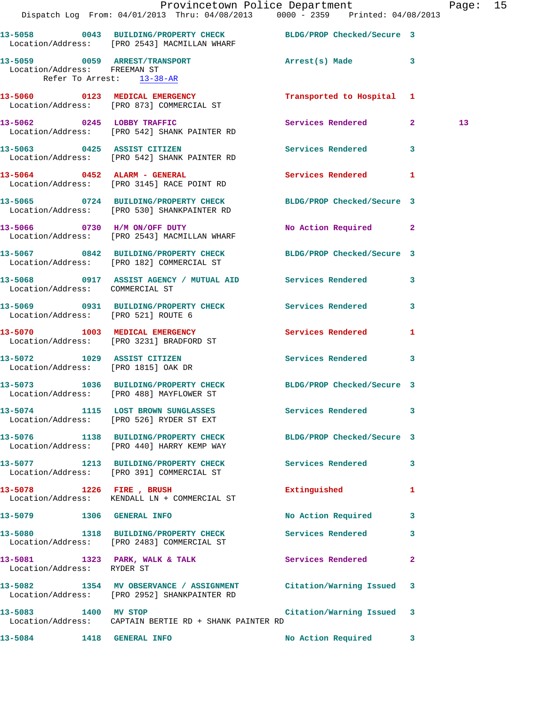|                                 | Dispatch Log From: 04/01/2013 Thru: 04/08/2013 0000 - 2359 Printed: 04/08/2013                                    | Provincetown Police Department |              | Page: 15        |  |
|---------------------------------|-------------------------------------------------------------------------------------------------------------------|--------------------------------|--------------|-----------------|--|
|                                 | 13-5058 0043 BUILDING/PROPERTY CHECK BLDG/PROP Checked/Secure 3<br>Location/Address: [PRO 2543] MACMILLAN WHARF   |                                |              |                 |  |
| Refer To Arrest: 13-38-AR       | 13-5059 0059 ARREST/TRANSPORT 2000 Arrest(s) Made 3<br>Location/Address: FREEMAN ST                               |                                |              |                 |  |
|                                 | 13-5060 0123 MEDICAL EMERGENCY<br>Location/Address: [PRO 873] COMMERCIAL ST                                       | Transported to Hospital 1      |              |                 |  |
|                                 | 13-5062 0245 LOBBY TRAFFIC<br>Location/Address: [PRO 542] SHANK PAINTER RD                                        | Services Rendered 2            |              | 13 <sub>1</sub> |  |
|                                 | 13-5063 0425 ASSIST CITIZEN<br>Location/Address: [PRO 542] SHANK PAINTER RD                                       | Services Rendered 3            |              |                 |  |
|                                 | 13-5064 0452 ALARM - GENERAL<br>Location/Address: [PRO 3145] RACE POINT RD                                        | Services Rendered 1            |              |                 |  |
|                                 | 13-5065 0724 BUILDING/PROPERTY CHECK BLDG/PROP Checked/Secure 3<br>Location/Address: [PRO 530] SHANKPAINTER RD    |                                |              |                 |  |
|                                 | 13-5066 0730 H/M ON/OFF DUTY<br>Location/Address: [PRO 2543] MACMILLAN WHARF                                      | No Action Required 2           |              |                 |  |
|                                 | 13-5067 0842 BUILDING/PROPERTY CHECK BLDG/PROP Checked/Secure 3<br>Location/Address: [PRO 182] COMMERCIAL ST      |                                |              |                 |  |
| Location/Address: COMMERCIAL ST | 13-5068 0917 ASSIST AGENCY / MUTUAL AID Services Rendered 3                                                       |                                |              |                 |  |
|                                 | 13-5069 0931 BUILDING/PROPERTY CHECK Services Rendered<br>Location/Address: [PRO 521] ROUTE 6                     |                                | $\mathbf{3}$ |                 |  |
|                                 | 13-5070 1003 MEDICAL EMERGENCY<br>Location/Address: [PRO 3231] BRADFORD ST                                        | <b>Services Rendered</b>       | $\mathbf{1}$ |                 |  |
|                                 | 13-5072 1029 ASSIST CITIZEN<br>Location/Address: [PRO 1815] OAK DR                                                | Services Rendered 3            |              |                 |  |
|                                 | 13-5073 1036 BUILDING/PROPERTY CHECK BLDG/PROP Checked/Secure 3<br>Location/Address: [PRO 488] MAYFLOWER ST       |                                |              |                 |  |
|                                 | 13-5074 1115 LOST BROWN SUNGLASSES<br>Location/Address: [PRO 526] RYDER ST EXT                                    | Services Rendered 3            |              |                 |  |
|                                 | 13-5076 1138 BUILDING/PROPERTY CHECK BLDG/PROP Checked/Secure 3<br>Location/Address: [PRO 440] HARRY KEMP WAY     |                                |              |                 |  |
|                                 | 13-5077 1213 BUILDING/PROPERTY CHECK Services Rendered 3<br>Location/Address: [PRO 391] COMMERCIAL ST             |                                |              |                 |  |
|                                 | 13-5078 1226 FIRE, BRUSH<br>Location/Address: KENDALL LN + COMMERCIAL ST                                          | Extinguished                   | 1            |                 |  |
| 13-5079 1306 GENERAL INFO       |                                                                                                                   | No Action Required 3           |              |                 |  |
|                                 | 13-5080 1318 BUILDING/PROPERTY CHECK<br>Location/Address: [PRO 2483] COMMERCIAL ST                                | Services Rendered              | 3            |                 |  |
| Location/Address: RYDER ST      | 13-5081 1323 PARK, WALK & TALK 1997 Services Rendered                                                             |                                | $\mathbf{2}$ |                 |  |
|                                 | 13-5082 1354 MV OBSERVANCE / ASSIGNMENT Citation/Warning Issued 3<br>Location/Address: [PRO 2952] SHANKPAINTER RD |                                |              |                 |  |
| 13-5083 1400 MV STOP            | Location/Address: CAPTAIN BERTIE RD + SHANK PAINTER RD                                                            | Citation/Warning Issued 3      |              |                 |  |
| 13-5084                         | 1418 GENERAL INFO                                                                                                 | No Action Required             | 3            |                 |  |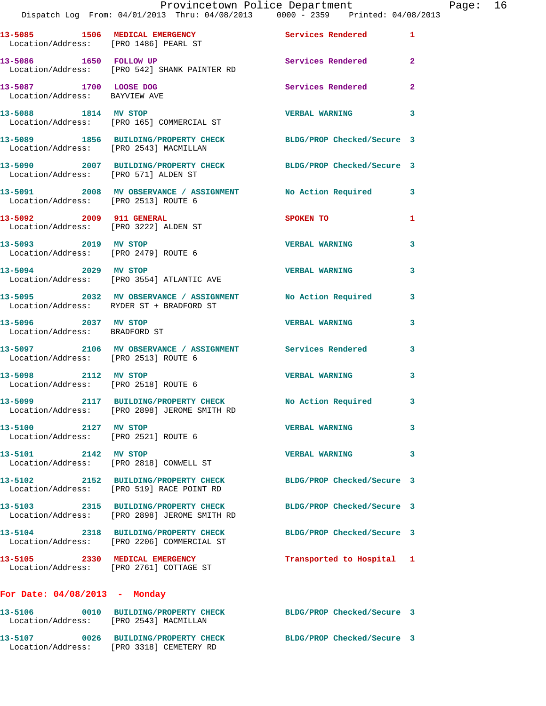|                                                              | Provincetown Police Department The Page: 16<br>Dispatch Log From: 04/01/2013 Thru: 04/08/2013   0000 - 2359   Printed: 04/08/2013 |                            |              |
|--------------------------------------------------------------|-----------------------------------------------------------------------------------------------------------------------------------|----------------------------|--------------|
|                                                              | 13-5085 1506 MEDICAL EMERGENCY 1 Services Rendered 1<br>Location/Address: [PRO 1486] PEARL ST                                     |                            |              |
|                                                              | 13-5086 1650 FOLLOW UP<br>Location/Address: [PRO 542] SHANK PAINTER RD                                                            | Services Rendered          | $\mathbf{2}$ |
| 13-5087 1700 LOOSE DOG<br>Location/Address: BAYVIEW AVE      |                                                                                                                                   | Services Rendered          | $\mathbf{2}$ |
|                                                              | 13-5088 1814 MV STOP<br>Location/Address: [PRO 165] COMMERCIAL ST                                                                 | <b>VERBAL WARNING</b>      | 3            |
|                                                              | 13-5089 1856 BUILDING/PROPERTY CHECK BLDG/PROP Checked/Secure 3<br>Location/Address: [PRO 2543] MACMILLAN                         |                            |              |
| Location/Address: [PRO 571] ALDEN ST                         | 13-5090 2007 BUILDING/PROPERTY CHECK BLDG/PROP Checked/Secure 3                                                                   |                            |              |
| Location/Address: [PRO 2513] ROUTE 6                         | 13-5091 2008 MV OBSERVANCE / ASSIGNMENT No Action Required 3                                                                      |                            |              |
| Location/Address: [PRO 3222] ALDEN ST                        | 13-5092 2009 911 GENERAL                                                                                                          | SPOKEN TO                  | 1            |
| 13-5093 2019 MV STOP                                         | Location/Address: [PRO 2479] ROUTE 6                                                                                              | <b>VERBAL WARNING</b>      | 3            |
|                                                              | 13-5094 2029 MV STOP<br>Location/Address: [PRO 3554] ATLANTIC AVE                                                                 | <b>VERBAL WARNING</b>      | 3            |
|                                                              | 13-5095 2032 MV OBSERVANCE / ASSIGNMENT No Action Required 3<br>Location/Address: RYDER ST + BRADFORD ST                          |                            |              |
| 13-5096 2037 MV STOP<br>Location/Address: BRADFORD ST        |                                                                                                                                   | <b>VERBAL WARNING</b>      | 3            |
| Location/Address: [PRO 2513] ROUTE 6                         | 13-5097 2106 MV OBSERVANCE / ASSIGNMENT Services Rendered 3                                                                       |                            |              |
| Location/Address: [PRO 2518] ROUTE 6                         | 13-5098 2112 MV STOP                                                                                                              | <b>VERBAL WARNING</b>      | 3            |
|                                                              | 13-5099 2117 BUILDING/PROPERTY CHECK No Action Required<br>Location/Address: [PRO 2898] JEROME SMITH RD                           |                            |              |
| 13-5100 2127 MV STOP<br>Location/Address: [PRO 2521] ROUTE 6 |                                                                                                                                   | <b>VERBAL WARNING</b>      | 3            |
| 13-5101 2142 MV STOP                                         | Location/Address: [PRO 2818] CONWELL ST                                                                                           | <b>VERBAL WARNING</b>      | 3            |
|                                                              | 13-5102 2152 BUILDING/PROPERTY CHECK BLDG/PROP Checked/Secure 3<br>Location/Address: [PRO 519] RACE POINT RD                      |                            |              |
|                                                              | 13-5103 2315 BUILDING/PROPERTY CHECK BLDG/PROP Checked/Secure 3<br>Location/Address: [PRO 2898] JEROME SMITH RD                   |                            |              |
|                                                              | 13-5104 2318 BUILDING/PROPERTY CHECK<br>Location/Address: [PRO 2206] COMMERCIAL ST                                                | BLDG/PROP Checked/Secure 3 |              |
|                                                              | 13-5105 2330 MEDICAL EMERGENCY<br>Location/Address: [PRO 2761] COTTAGE ST                                                         | Transported to Hospital 1  |              |
| For Date: $04/08/2013$ - Monday                              |                                                                                                                                   |                            |              |
| Location/Address: [PRO 2543] MACMILLAN                       | 13-5106 0010 BUILDING/PROPERTY CHECK BLDG/PROP Checked/Secure 3                                                                   |                            |              |
|                                                              | 13-5107 0026 BUILDING/PROPERTY CHECK BLDG/PROP Checked/Secure 3                                                                   |                            |              |

Location/Address: [PRO 3318] CEMETERY RD